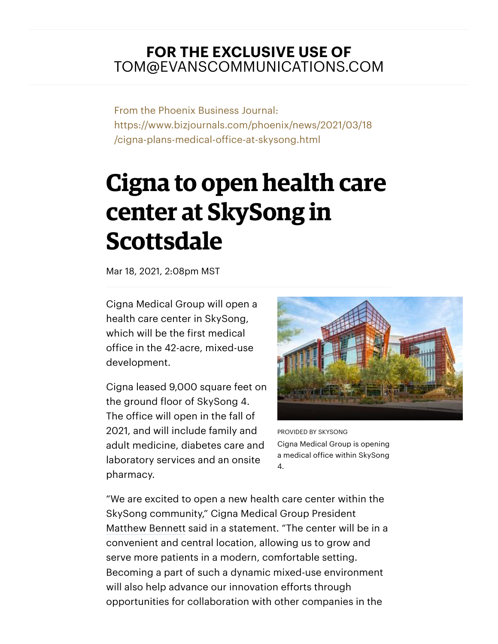## **FOR THE EXCLUSIVE USE OF** TOM@EVANSCOMMUNICATIONS.COM

From the Phoenix Business Journal: https://www.bizjournals.com/phoenix/news/2021/03/18 /cigna-plans-medical-office-at-skysong.html

## **Cigna to open health care center at SkySong in Scottsdale**

Mar 18, 2021, 2:08pm MST

Cigna Medical Group will open a health care center in SkySong, which will be the first medical office in the 42-acre, mixed-use development.

Cigna leased 9,000 square feet on the ground floor of SkySong 4. The office will open in the fall of 2021, and will include family and adult medicine, diabetes care and laboratory services and an onsite pharmacy.



PROVIDED BY SKYSONG Cigna Medical Group is opening a medical office within SkySong 4.

"We are excited to open a new health care center within the SkySong community," Cigna Medical Group President Matthew Bennett said in a statement. "The center will be in a convenient and central location, allowing us to grow and serve more patients in a modern, comfortable setting. Becoming a part of such a dynamic mixed-use environment will also help advance our innovation efforts through opportunities for collaboration with other companies in the